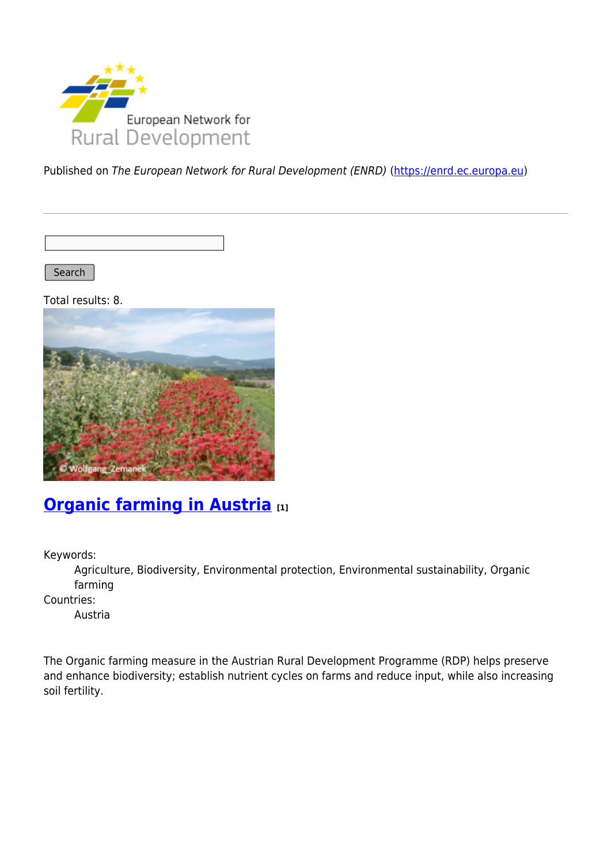

Published on The European Network for Rural Development (ENRD) [\(https://enrd.ec.europa.eu](https://enrd.ec.europa.eu))

Search

Total results: 8.



### **[Organic farming in Austria](https://enrd.ec.europa.eu/projects-practice/organic-farming-austria_en) [1]**

Keywords:

Agriculture, Biodiversity, Environmental protection, Environmental sustainability, Organic farming

Countries:

Austria

The Organic farming measure in the Austrian Rural Development Programme (RDP) helps preserve and enhance biodiversity; establish nutrient cycles on farms and reduce input, while also increasing soil fertility.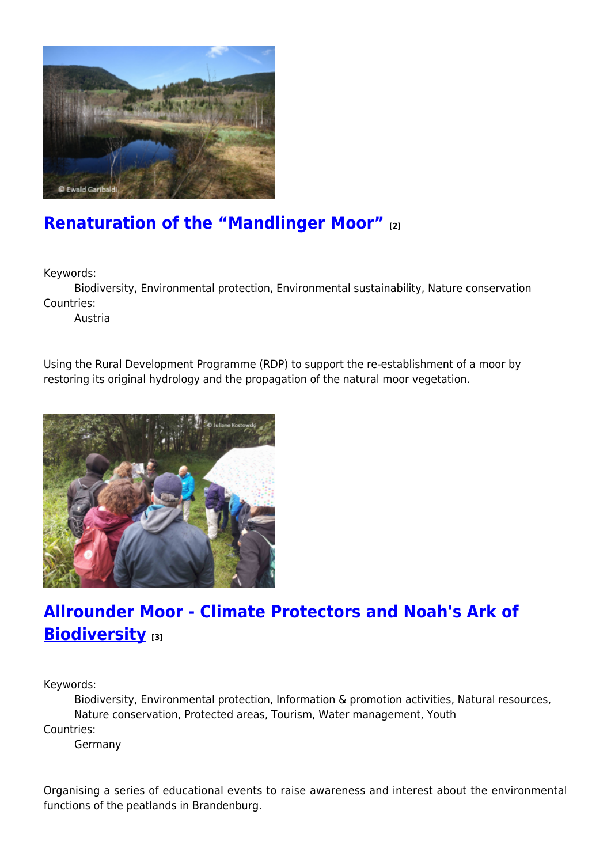

## **[Renaturation of the "Mandlinger Moor"](https://enrd.ec.europa.eu/projects-practice/renaturation-mandlinger-moor_en) [2]**

Keywords:

Biodiversity, Environmental protection, Environmental sustainability, Nature conservation Countries:

Austria

Using the Rural Development Programme (RDP) to support the re-establishment of a moor by restoring its original hydrology and the propagation of the natural moor vegetation.



## **[Allrounder Moor - Climate Protectors and Noah's Ark of](https://enrd.ec.europa.eu/projects-practice/allrounder-moor-climate-protectors-and-noahs-ark-biodiversity_en) [Biodiversity](https://enrd.ec.europa.eu/projects-practice/allrounder-moor-climate-protectors-and-noahs-ark-biodiversity_en) [3]**

Keywords:

Biodiversity, Environmental protection, Information & promotion activities, Natural resources, Nature conservation, Protected areas, Tourism, Water management, Youth Countries:

Germany

Organising a series of educational events to raise awareness and interest about the environmental functions of the peatlands in Brandenburg.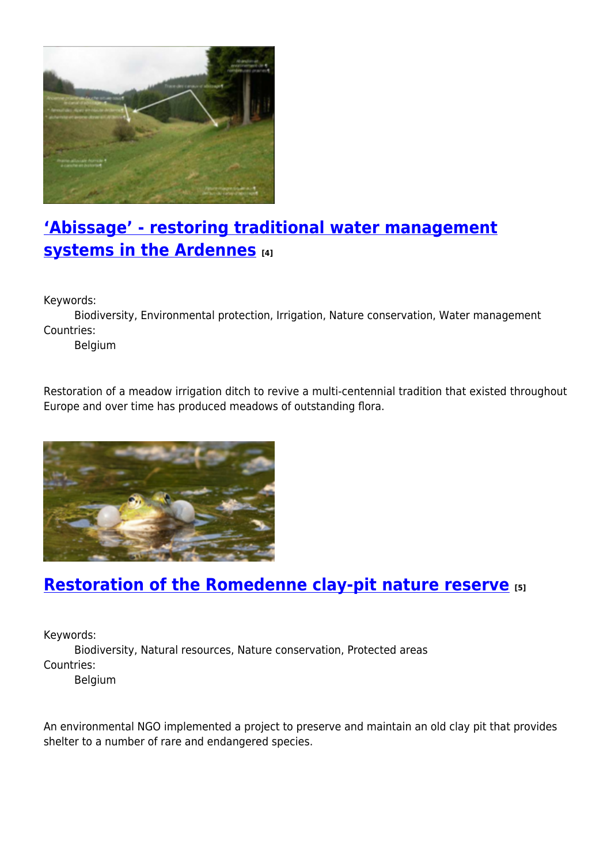

# **['Abissage' - restoring traditional water management](https://enrd.ec.europa.eu/projects-practice/abissage-restoring-traditional-water-management-systems-ardennes_en) [systems in the Ardennes](https://enrd.ec.europa.eu/projects-practice/abissage-restoring-traditional-water-management-systems-ardennes_en) [4]**

Keywords:

Biodiversity, Environmental protection, Irrigation, Nature conservation, Water management Countries:

Belgium

Restoration of a meadow irrigation ditch to revive a multi-centennial tradition that existed throughout Europe and over time has produced meadows of outstanding flora.



### **[Restoration of the Romedenne clay-pit nature reserve](https://enrd.ec.europa.eu/projects-practice/restoration-romedenne-clay-pit-nature-reserve_en) [5]**

Keywords:

Biodiversity, Natural resources, Nature conservation, Protected areas Countries:

Belgium

An environmental NGO implemented a project to preserve and maintain an old clay pit that provides shelter to a number of rare and endangered species.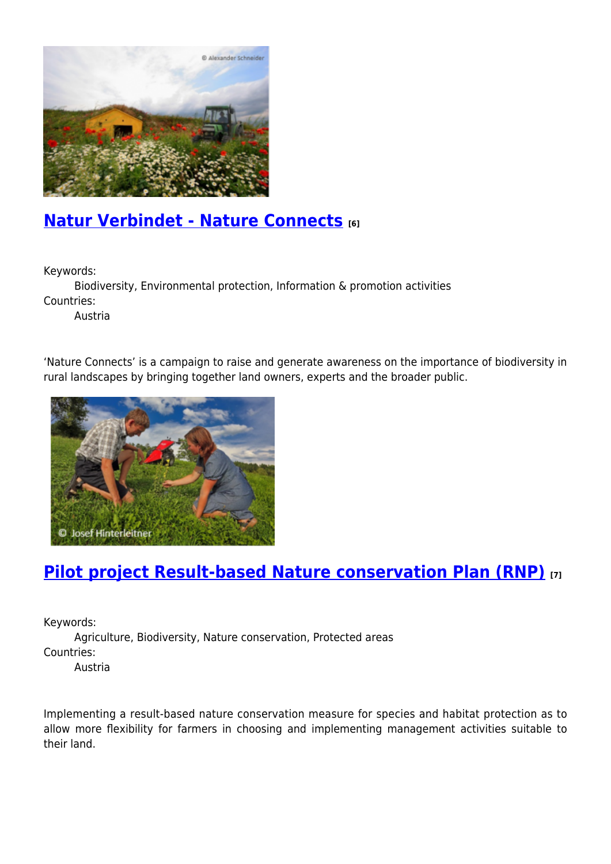

### **[Natur Verbindet - Nature Connects](https://enrd.ec.europa.eu/projects-practice/natur-verbindet-nature-connects_en) [6]**

Keywords:

Biodiversity, Environmental protection, Information & promotion activities Countries:

Austria

'Nature Connects' is a campaign to raise and generate awareness on the importance of biodiversity in rural landscapes by bringing together land owners, experts and the broader public.



## **[Pilot project Result-based Nature conservation Plan \(RNP\)](https://enrd.ec.europa.eu/projects-practice/pilot-project-result-based-nature-conservation-plan-rnp_en) [7]**

Keywords:

Agriculture, Biodiversity, Nature conservation, Protected areas Countries:

Austria

Implementing a result-based nature conservation measure for species and habitat protection as to allow more flexibility for farmers in choosing and implementing management activities suitable to their land.